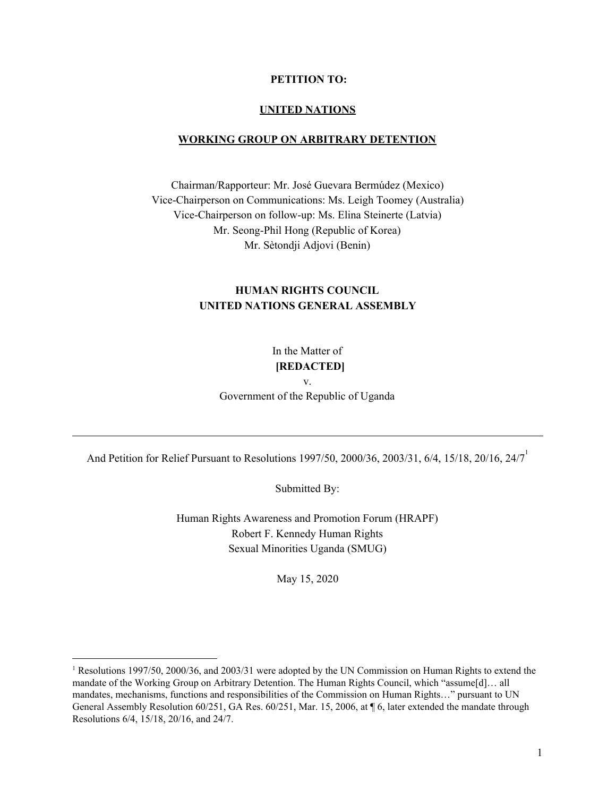#### **PETITION TO:**

#### **UNITED NATIONS**

#### **WORKING GROUP ON ARBITRARY DETENTION**

Chairman/Rapporteur: Mr. José Guevara Bermúdez (Mexico) Vice-Chairperson on Communications: Ms. Leigh Toomey (Australia) Vice-Chairperson on follow-up: Ms. Elina Steinerte (Latvia) Mr. Seong-Phil Hong (Republic of Korea) Mr. Sètondji Adjovi (Benin)

## **HUMAN RIGHTS COUNCIL UNITED NATIONS GENERAL ASSEMBLY**

In the Matter of **[REDACTED]**

v.

Government of the Republic of Uganda

And Petition for Relief Pursuant to Resolutions 1997/50, 2000/36, 2003/31, 6/4, 15/18, 20/16, 24/7

Submitted By:

Human Rights Awareness and Promotion Forum (HRAPF) Robert F. Kennedy Human Rights Sexual Minorities Uganda (SMUG)

May 15, 2020

<sup>1</sup> Resolutions 1997/50, 2000/36, and 2003/31 were adopted by the UN Commission on Human Rights to extend the mandate of the Working Group on Arbitrary Detention. The Human Rights Council, which "assume[d]… all mandates, mechanisms, functions and responsibilities of the Commission on Human Rights…" pursuant to UN General Assembly Resolution 60/251, GA Res. 60/251, Mar. 15, 2006, at ¶ 6, later extended the mandate through Resolutions 6/4, 15/18, 20/16, and 24/7.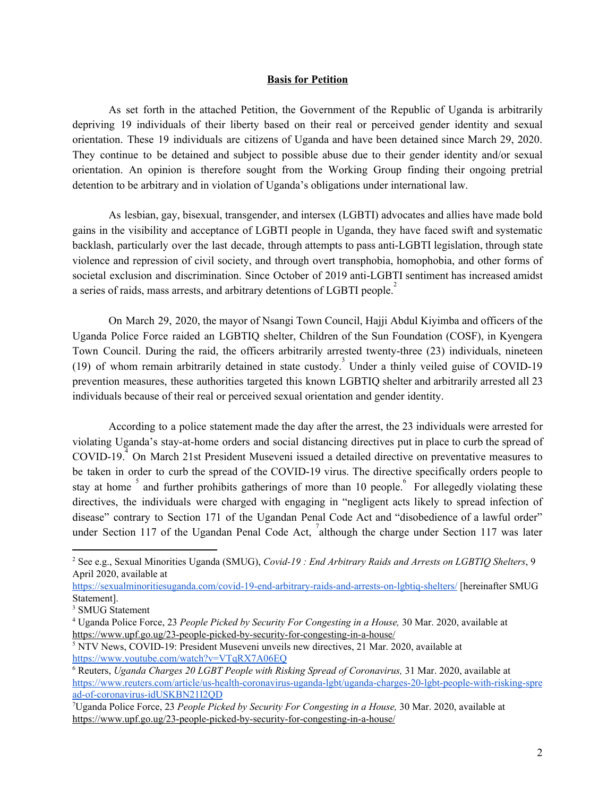#### **Basis for Petition**

As set forth in the attached Petition, the Government of the Republic of Uganda is arbitrarily depriving 19 individuals of their liberty based on their real or perceived gender identity and sexual orientation. These 19 individuals are citizens of Uganda and have been detained since March 29, 2020. They continue to be detained and subject to possible abuse due to their gender identity and/or sexual orientation. An opinion is therefore sought from the Working Group finding their ongoing pretrial detention to be arbitrary and in violation of Uganda's obligations under international law.

As lesbian, gay, bisexual, transgender, and intersex (LGBTI) advocates and allies have made bold gains in the visibility and acceptance of LGBTI people in Uganda, they have faced swift and systematic backlash, particularly over the last decade, through attempts to pass anti-LGBTI legislation, through state violence and repression of civil society, and through overt transphobia, homophobia, and other forms of societal exclusion and discrimination. Since October of 2019 anti-LGBTI sentiment has increased amidst a series of raids, mass arrests, and arbitrary detentions of LGBTI people.<sup>2</sup>

On March 29, 2020, the mayor of Nsangi Town Council, Hajji Abdul Kiyimba and officers of the Uganda Police Force raided an LGBTIQ shelter, Children of the Sun Foundation (COSF), in Kyengera Town Council. During the raid, the officers arbitrarily arrested twenty-three (23) individuals, nineteen (19) of whom remain arbitrarily detained in state custody.<sup>3</sup> Under a thinly veiled guise of COVID-19 prevention measures, these authorities targeted this known LGBTIQ shelter and arbitrarily arrested all 23 individuals because of their real or perceived sexual orientation and gender identity.

According to a police statement made the day after the arrest, the 23 individuals were arrested for violating Uganda's stay-at-home orders and social distancing directives put in place to curb the spread of  $COVID-19<sup>4</sup>$  On March 21st President Museveni issued a detailed directive on preventative measures to be taken in order to curb the spread of the COVID-19 virus. The directive specifically orders people to stay at home  $\frac{5}{3}$  and further prohibits gatherings of more than 10 people. For allegedly violating these directives, the individuals were charged with engaging in "negligent acts likely to spread infection of disease" contrary to Section 171 of the Ugandan Penal Code Act and "disobedience of a lawful order" under Section 117 of the Ugandan Penal Code Act,  $\int$ although the charge under Section 117 was later

<https://sexualminoritiesuganda.com/covid-19-end-arbitrary-raids-and-arrests-on-lgbtiq-shelters/> [hereinafter SMUG Statement].

<sup>2</sup> See e.g., Sexual Minorities Uganda (SMUG), *Covid-19 : End Arbitrary Raids and Arrests on LGBTIQ Shelters*, 9 April 2020, available at

<sup>&</sup>lt;sup>3</sup> SMUG Statement

<sup>4</sup> Uganda Police Force, 23 *People Picked by Security For Congesting in a House,* 30 Mar. 2020, available at <https://www.upf.go.ug/23-people-picked-by-security-for-congesting-in-a-house/>

<sup>5</sup> NTV News, COVID-19: President Museveni unveils new directives, 21 Mar. 2020, available at <https://www.youtube.com/watch?v=VTqRX7A06EQ>

<sup>6</sup> Reuters, *Uganda Charges 20 LGBT People with Risking Spread of Coronavirus,* 31 Mar. 2020, available at [https://www.reuters.com/article/us-health-coronavirus-uganda-lgbt/uganda-charges-20-lgbt-people-with-risking-spre](https://www.reuters.com/article/us-health-coronavirus-uganda-lgbt/uganda-charges-20-lgbt-people-with-risking-spread-of-coronavirus-idUSKBN21I2QD) [ad-of-coronavirus-idUSKBN21I2QD](https://www.reuters.com/article/us-health-coronavirus-uganda-lgbt/uganda-charges-20-lgbt-people-with-risking-spread-of-coronavirus-idUSKBN21I2QD)

<sup>7</sup>Uganda Police Force, 23 *People Picked by Security For Congesting in a House,* 30 Mar. 2020, available at <https://www.upf.go.ug/23-people-picked-by-security-for-congesting-in-a-house/>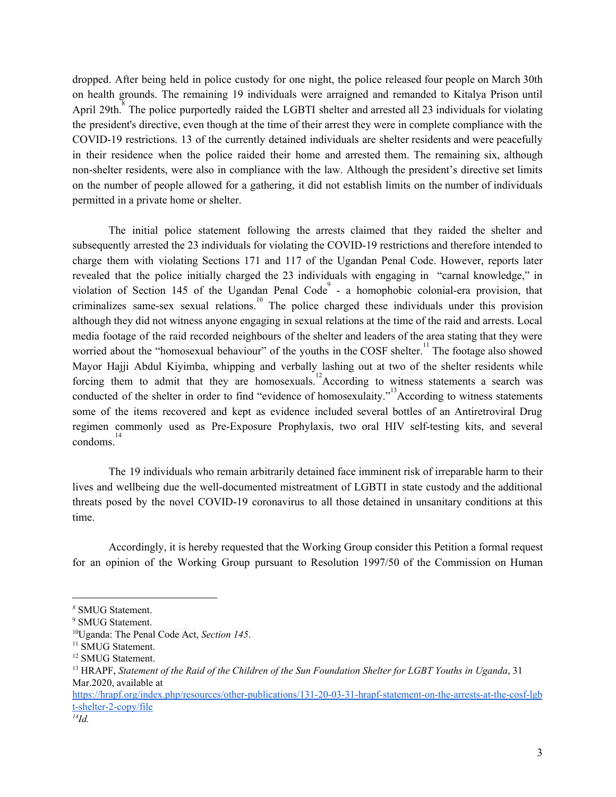dropped. After being held in police custody for one night, the police released four people on March 30th on health grounds. The remaining 19 individuals were arraigned and remanded to Kitalya Prison until April 29th. $\overline{8}$  The police purportedly raided the LGBTI shelter and arrested all 23 individuals for violating the president's directive, even though at the time of their arrest they were in complete compliance with the COVID-19 restrictions. 13 of the currently detained individuals are shelter residents and were peacefully in their residence when the police raided their home and arrested them. The remaining six, although non-shelter residents, were also in compliance with the law. Although the president's directive set limits on the number of people allowed for a gathering, it did not establish limits on the number of individuals permitted in a private home or shelter.

The initial police statement following the arrests claimed that they raided the shelter and subsequently arrested the 23 individuals for violating the COVID-19 restrictions and therefore intended to charge them with violating Sections 171 and 117 of the Ugandan Penal Code. However, reports later revealed that the police initially charged the 23 individuals with engaging in "carnal knowledge," in violation of Section 145 of the Ugandan Penal Code - a homophobic colonial-era provision, that criminalizes same-sex sexual relations.<sup>10</sup> The police charged these individuals under this provision although they did not witness anyone engaging in sexual relations at the time of the raid and arrests. Local media footage of the raid recorded neighbours of the shelter and leaders of the area stating that they were worried about the "homosexual behaviour" of the youths in the COSF shelter.<sup>11</sup> The footage also showed Mayor Hajji Abdul Kiyimba, whipping and verbally lashing out at two of the shelter residents while forcing them to admit that they are homosexuals.<sup>12</sup>According to witness statements a search was conducted of the shelter in order to find "evidence of homosexulaity."<sup>13</sup>According to witness statements some of the items recovered and kept as evidence included several bottles of an Antiretroviral Drug regimen commonly used as Pre-Exposure Prophylaxis, two oral HIV self-testing kits, and several condoms. 14

The 19 individuals who remain arbitrarily detained face imminent risk of irreparable harm to their lives and wellbeing due the well-documented mistreatment of LGBTI in state custody and the additional threats posed by the novel COVID-19 coronavirus to all those detained in unsanitary conditions at this time.

Accordingly, it is hereby requested that the Working Group consider this Petition a formal request for an opinion of the Working Group pursuant to Resolution 1997/50 of the Commission on Human

*<sup>8</sup>* SMUG Statement.

<sup>&</sup>lt;sup>9</sup> SMUG Statement.

<sup>10</sup>Uganda: The Penal Code Act, *Section 145*.

<sup>&</sup>lt;sup>11</sup> SMUG Statement.

<sup>&</sup>lt;sup>12</sup> SMUG Statement.

 $^{13}$  HRAPF, Statement of the Raid of the Children of the Sun Foundation Shelter for LGBT Youths in Uganda, 31 Mar.2020, available at

[https://hrapf.org/index.php/resources/other-publications/131-20-03-31-hrapf-statement-on-the-arrests-at-the-cosf-lgb](https://hrapf.org/index.php/resources/other-publications/131-20-03-31-hrapf-statement-on-the-arrests-at-the-cosf-lgbt-shelter-2-copy/file) [t-shelter-2-copy/file](https://hrapf.org/index.php/resources/other-publications/131-20-03-31-hrapf-statement-on-the-arrests-at-the-cosf-lgbt-shelter-2-copy/file)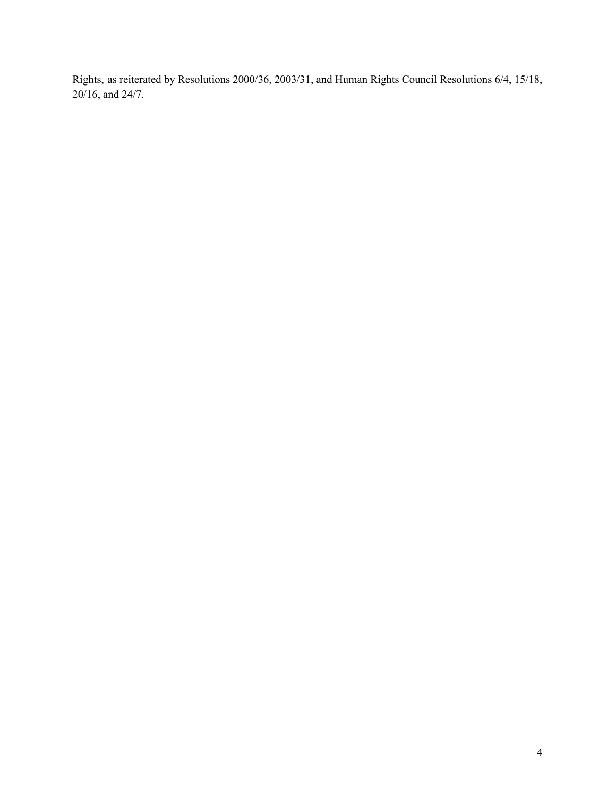Rights, as reiterated by Resolutions 2000/36, 2003/31, and Human Rights Council Resolutions 6/4, 15/18, 20/16, and 24/7.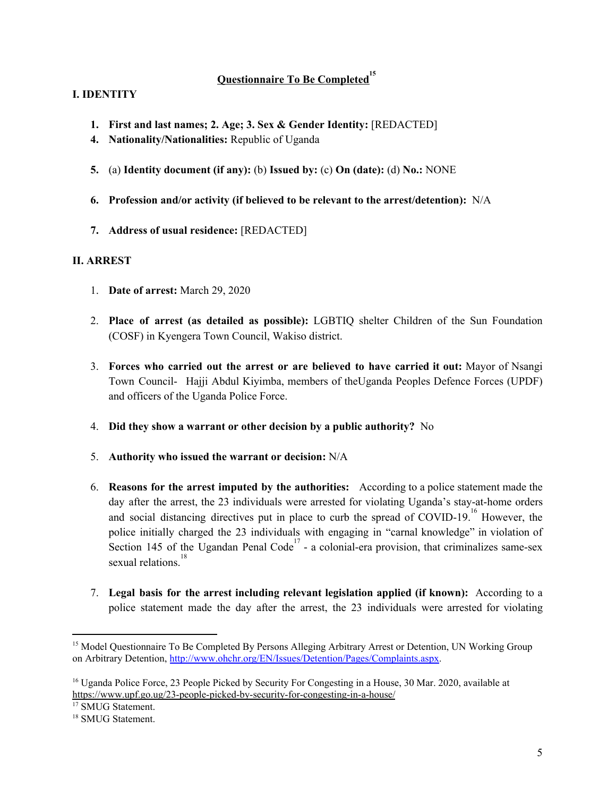# **Questionnaire To Be Completed 15**

## **I. IDENTITY**

- **1. First and last names; 2. Age; 3. Sex & Gender Identity:** [REDACTED]
- **4. Nationality/Nationalities:** Republic of Uganda
- **5.** (a) **Identity document (if any):** (b) **Issued by:** (c) **On (date):** (d) **No.:** NONE
- **6. Profession and/or activity (if believed to be relevant to the arrest/detention):** N/A
- **7. Address of usual residence:** [REDACTED]

## **II. ARREST**

- 1. **Date of arrest:** March 29, 2020
- 2. **Place of arrest (as detailed as possible):** LGBTIQ shelter Children of the Sun Foundation (COSF) in Kyengera Town Council, Wakiso district.
- 3. **Forces who carried out the arrest or are believed to have carried it out:** Mayor of Nsangi Town Council- Hajji Abdul Kiyimba, members of theUganda Peoples Defence Forces (UPDF) and officers of the Uganda Police Force.
- 4. **Did they show a warrant or other decision by a public authority?** No
- 5. **Authority who issued the warrant or decision:** N/A
- 6. **Reasons for the arrest imputed by the authorities:** According to a police statement made the day after the arrest, the 23 individuals were arrested for violating Uganda's stay-at-home orders and social distancing directives put in place to curb the spread of COVID-19.<sup>16</sup> However, the police initially charged the 23 individuals with engaging in "carnal knowledge" in violation of Section 145 of the Ugandan Penal Code<sup>17</sup> - a colonial-era provision, that criminalizes same-sex sexual relations. 18
- 7. **Legal basis for the arrest including relevant legislation applied (if known):** According to a police statement made the day after the arrest, the 23 individuals were arrested for violating

<sup>17</sup> SMUG Statement.

<sup>&</sup>lt;sup>15</sup> Model Questionnaire To Be Completed By Persons Alleging Arbitrary Arrest or Detention, UN Working Group on Arbitrary Detention, <http://www.ohchr.org/EN/Issues/Detention/Pages/Complaints.aspx>.

<sup>&</sup>lt;sup>16</sup> Uganda Police Force, 23 People Picked by Security For Congesting in a House, 30 Mar. 2020, available at <https://www.upf.go.ug/23-people-picked-by-security-for-congesting-in-a-house/>

<sup>&</sup>lt;sup>18</sup> SMUG Statement.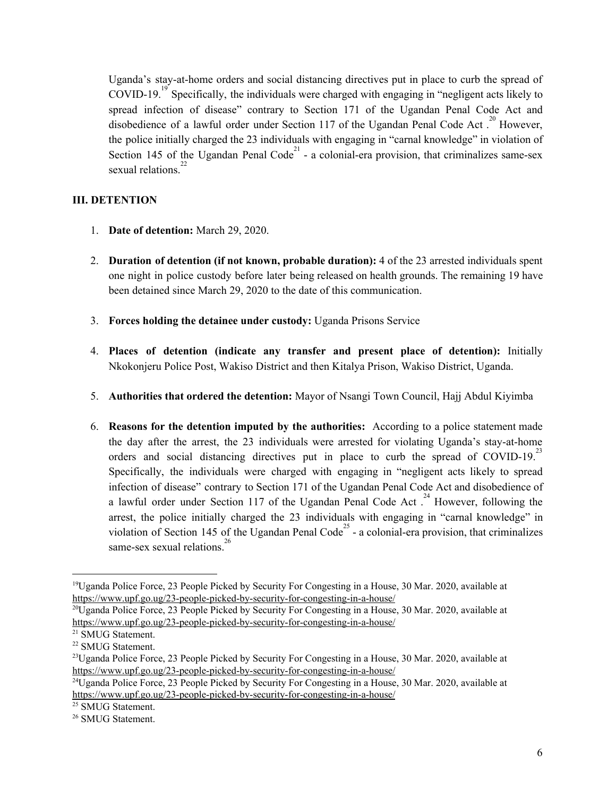Uganda's stay-at-home orders and social distancing directives put in place to curb the spread of COVID-19.<sup>19</sup> Specifically, the individuals were charged with engaging in "negligent acts likely to spread infection of disease" contrary to Section 171 of the Ugandan Penal Code Act and disobedience of a lawful order under Section 117 of the Ugandan Penal Code Act.<sup>20</sup> However, the police initially charged the 23 individuals with engaging in "carnal knowledge" in violation of Section 145 of the Ugandan Penal Code<sup>21</sup> - a colonial-era provision, that criminalizes same-sex sexual relations.<sup>22</sup>

## **III. DETENTION**

- 1. **Date of detention:** March 29, 2020.
- 2. **Duration of detention (if not known, probable duration):** 4 of the 23 arrested individuals spent one night in police custody before later being released on health grounds. The remaining 19 have been detained since March 29, 2020 to the date of this communication.
- 3. **Forces holding the detainee under custody:** Uganda Prisons Service
- 4. **Places of detention (indicate any transfer and present place of detention):** Initially Nkokonjeru Police Post, Wakiso District and then Kitalya Prison, Wakiso District, Uganda.
- 5. **Authorities that ordered the detention:** Mayor of Nsangi Town Council, Hajj Abdul Kiyimba
- 6. **Reasons for the detention imputed by the authorities:** According to a police statement made the day after the arrest, the 23 individuals were arrested for violating Uganda's stay-at-home orders and social distancing directives put in place to curb the spread of COVID-19.<sup>23</sup> Specifically, the individuals were charged with engaging in "negligent acts likely to spread infection of disease" contrary to Section 171 of the Ugandan Penal Code Act and disobedience of a lawful order under Section 117 of the Ugandan Penal Code Act.<sup>24</sup> However, following the arrest, the police initially charged the 23 individuals with engaging in "carnal knowledge" in violation of Section 145 of the Ugandan Penal Code<sup>25</sup> - a colonial-era provision, that criminalizes same-sex sexual relations.<sup>26</sup>

<sup>19</sup>Uganda Police Force, 23 People Picked by Security For Congesting in a House, 30 Mar. 2020, available at <https://www.upf.go.ug/23-people-picked-by-security-for-congesting-in-a-house/>

 $^{20}$ Uganda Police Force, 23 People Picked by Security For Congesting in a House, 30 Mar. 2020, available at <https://www.upf.go.ug/23-people-picked-by-security-for-congesting-in-a-house/>

<sup>21</sup> SMUG Statement.

<sup>22</sup> SMUG Statement.

<sup>&</sup>lt;sup>23</sup>Uganda Police Force, 23 People Picked by Security For Congesting in a House, 30 Mar. 2020, available at <https://www.upf.go.ug/23-people-picked-by-security-for-congesting-in-a-house/>

<sup>&</sup>lt;sup>24</sup>Uganda Police Force, 23 People Picked by Security For Congesting in a House, 30 Mar. 2020, available at <https://www.upf.go.ug/23-people-picked-by-security-for-congesting-in-a-house/>

<sup>&</sup>lt;sup>25</sup> SMUG Statement.

<sup>&</sup>lt;sup>26</sup> SMUG Statement.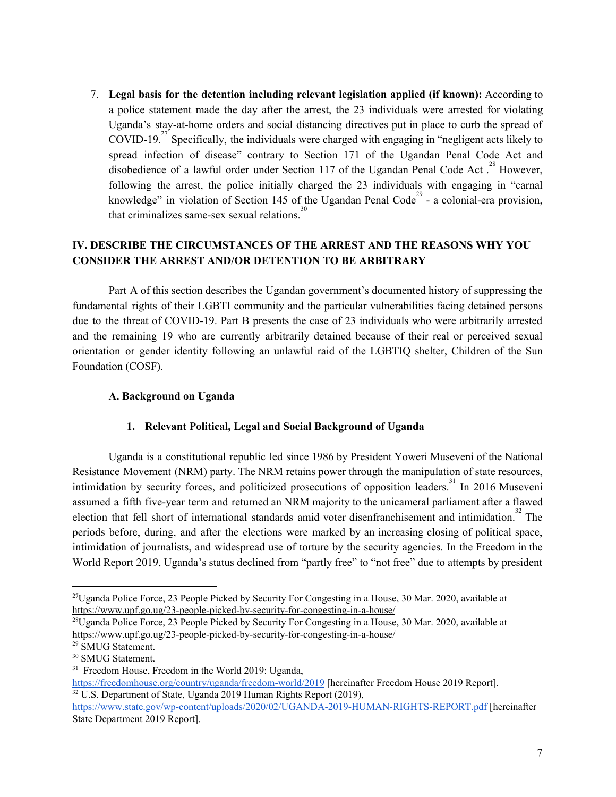7. **Legal basis for the detention including relevant legislation applied (if known):** According to a police statement made the day after the arrest, the 23 individuals were arrested for violating Uganda's stay-at-home orders and social distancing directives put in place to curb the spread of COVID-19.<sup>27</sup> Specifically, the individuals were charged with engaging in "negligent acts likely to spread infection of disease" contrary to Section 171 of the Ugandan Penal Code Act and disobedience of a lawful order under Section 117 of the Ugandan Penal Code Act.<sup>28</sup> However, following the arrest, the police initially charged the 23 individuals with engaging in "carnal knowledge" in violation of Section 145 of the Ugandan Penal Code<sup>29</sup> - a colonial-era provision, that criminalizes same-sex sexual relations. 30

## **IV. DESCRIBE THE CIRCUMSTANCES OF THE ARREST AND THE REASONS WHY YOU CONSIDER THE ARREST AND/OR DETENTION TO BE ARBITRARY**

Part A of this section describes the Ugandan government's documented history of suppressing the fundamental rights of their LGBTI community and the particular vulnerabilities facing detained persons due to the threat of COVID-19. Part B presents the case of 23 individuals who were arbitrarily arrested and the remaining 19 who are currently arbitrarily detained because of their real or perceived sexual orientation or gender identity following an unlawful raid of the LGBTIQ shelter, Children of the Sun Foundation (COSF).

## **A. Background on Uganda**

### **1. Relevant Political, Legal and Social Background of Uganda**

Uganda is a constitutional republic led since 1986 by President Yoweri Museveni of the National Resistance Movement (NRM) party. The NRM retains power through the manipulation of state resources, intimidation by security forces, and politicized prosecutions of opposition leaders.<sup>31</sup> In 2016 Museveni assumed a fifth five-year term and returned an NRM majority to the unicameral parliament after a flawed election that fell short of international standards amid voter disenfranchisement and intimidation.<sup>32</sup> The periods before, during, and after the elections were marked by an increasing closing of political space, intimidation of journalists, and widespread use of torture by the security agencies. In the Freedom in the World Report 2019, Uganda's status declined from "partly free" to "not free" due to attempts by president

<sup>27</sup>Uganda Police Force, 23 People Picked by Security For Congesting in a House, 30 Mar. 2020, available at <https://www.upf.go.ug/23-people-picked-by-security-for-congesting-in-a-house/>

 $^{28}$ Uganda Police Force, 23 People Picked by Security For Congesting in a House, 30 Mar. 2020, available at <https://www.upf.go.ug/23-people-picked-by-security-for-congesting-in-a-house/>

<sup>29</sup> SMUG Statement.

<sup>&</sup>lt;sup>30</sup> SMUG Statement.

<sup>31</sup> Freedom House, Freedom in the World 2019: Uganda,

<https://freedomhouse.org/country/uganda/freedom-world/2019> [hereinafter Freedom House 2019 Report]. <sup>32</sup> U.S. Department of State, Uganda 2019 Human Rights Report (2019),

<https://www.state.gov/wp-content/uploads/2020/02/UGANDA-2019-HUMAN-RIGHTS-REPORT.pdf> [hereinafter State Department 2019 Report].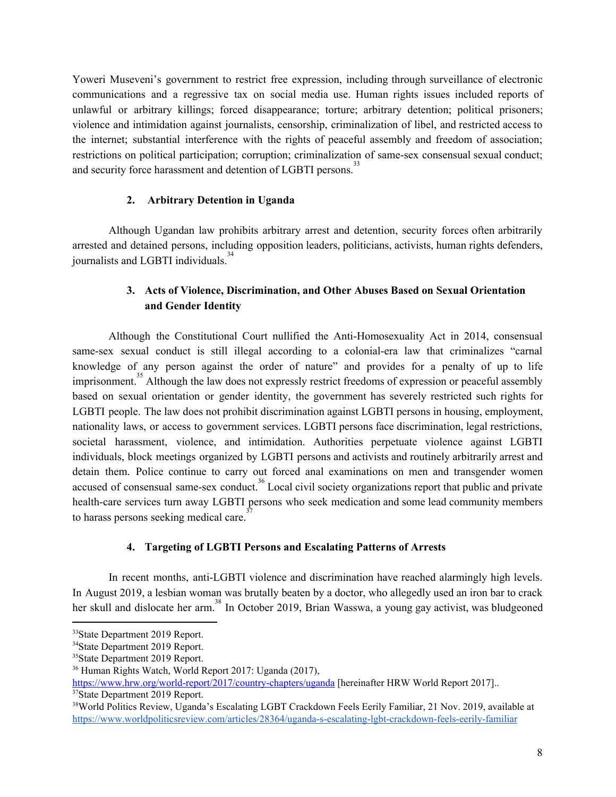Yoweri Museveni's government to restrict free expression, including through surveillance of electronic communications and a regressive tax on social media use. Human rights issues included reports of unlawful or arbitrary killings; forced disappearance; torture; arbitrary detention; political prisoners; violence and intimidation against journalists, censorship, criminalization of libel, and restricted access to the internet; substantial interference with the rights of peaceful assembly and freedom of association; restrictions on political participation; corruption; criminalization of same-sex consensual sexual conduct; and security force harassment and detention of LGBTI persons.<sup>33</sup>

### **2. Arbitrary Detention in Uganda**

Although Ugandan law prohibits arbitrary arrest and detention, security forces often arbitrarily arrested and detained persons, including opposition leaders, politicians, activists, human rights defenders, journalists and LGBTI individuals.<sup>34</sup>

## **3. Acts of Violence, Discrimination, and Other Abuses Based on Sexual Orientation and Gender Identity**

Although the Constitutional Court nullified the Anti-Homosexuality Act in 2014, consensual same-sex sexual conduct is still illegal according to a colonial-era law that criminalizes "carnal knowledge of any person against the order of nature" and provides for a penalty of up to life imprisonment.<sup>35</sup> Although the law does not expressly restrict freedoms of expression or peaceful assembly based on sexual orientation or gender identity, the government has severely restricted such rights for LGBTI people. The law does not prohibit discrimination against LGBTI persons in housing, employment, nationality laws, or access to government services. LGBTI persons face discrimination, legal restrictions, societal harassment, violence, and intimidation. Authorities perpetuate violence against LGBTI individuals, block meetings organized by LGBTI persons and activists and routinely arbitrarily arrest and detain them. Police continue to carry out forced anal examinations on men and transgender women accused of consensual same-sex conduct.<sup>36</sup> Local civil society organizations report that public and private health-care services turn away LGBTI persons who seek medication and some lead community members to harass persons seeking medical care.<sup>37</sup>

### **4. Targeting of LGBTI Persons and Escalating Patterns of Arrests**

In recent months, anti-LGBTI violence and discrimination have reached alarmingly high levels. In August 2019, a lesbian woman was [brutally](https://www.theguardian.com/global-development/2019/oct/30/ugandan-doctor-under-investigation-over-claims-he-assaulted-lgbt-patient) beaten by a doctor, who allegedly used an iron bar to crack her skull and dislocate her arm.<sup>38</sup> In October 2019, Brian [Wasswa,](https://www.hrw.org/news/2019/10/15/uganda-brutal-killing-gay-activist) a young gay activist, was bludgeoned

<https://www.hrw.org/world-report/2017/country-chapters/uganda> [hereinafter HRW World Report 2017].. <sup>37</sup>State Department 2019 Report.

<sup>33</sup>State Department 2019 Report.

<sup>34</sup>State Department 2019 Report.

<sup>&</sup>lt;sup>35</sup>State Department 2019 Report.

<sup>36</sup> Human Rights Watch, World Report 2017: Uganda (2017),

<sup>38</sup>World Politics Review, Uganda's Escalating LGBT Crackdown Feels Eerily Familiar, 21 Nov. 2019, available at <https://www.worldpoliticsreview.com/articles/28364/uganda-s-escalating-lgbt-crackdown-feels-eerily-familiar>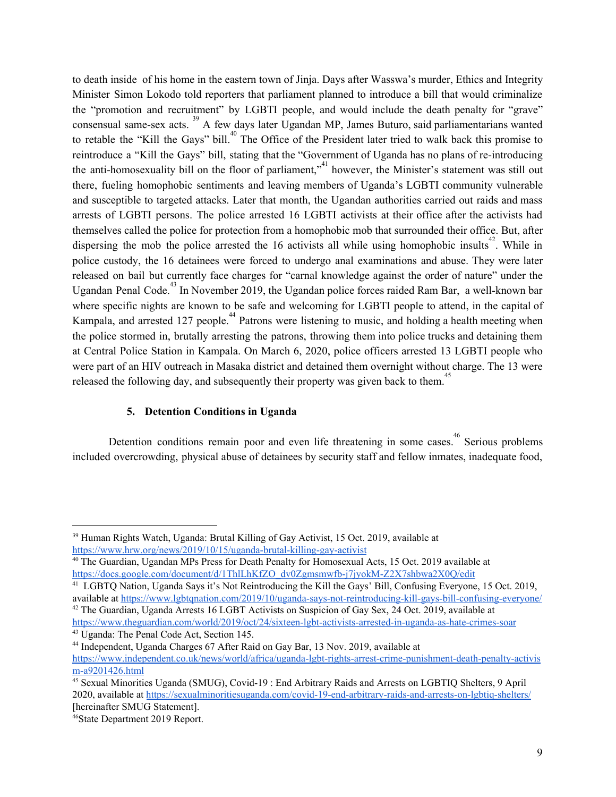to death inside of his home in the eastern town of Jinja. Days after Wasswa's murder, Ethics and Integrity Minister Simon Lokodo told reporters that parliament planned to introduce a bill that would [criminalize](https://www.reuters.com/article/us-uganda-lgbt-rights/uganda-plans-bill-imposing-death-penalty-for-gay-sex-idUSKBN1WP1GN) the "promotion and [recruitment"](https://www.reuters.com/article/us-uganda-lgbt-rights/uganda-plans-bill-imposing-death-penalty-for-gay-sex-idUSKBN1WP1GN) by LGBTI people, and would include the death penalty for "grave" consensual same-sex acts.<sup>39</sup> A few days later Ugandan MP, James Buturo, said parliamentarians wanted to retable the "Kill the Gays" bill.<sup>40</sup> The Office of the President later tried to walk back this promise to reintroduce a "Kill the Gays" bill, stating that the "Government of Uganda has no plans of re-introducing the anti-homosexuality bill on the floor of parliament,<sup>341</sup> however, the Minister's statement was still out there, fueling homophobic sentiments and leaving members of Uganda's LGBTI community vulnerable and susceptible to targeted attacks. Later that month, the Ugandan authorities carried out raids and mass arrests of LGBTI persons. The police arrested 16 LGBTI activists at their office after the activists had themselves called the police for protection from a homophobic mob that surrounded their office. But, after dispersing the mob the police arrested the 16 activists all while using homophobic insults<sup>42</sup>. While in police custody, the 16 detainees were forced to undergo anal examinations and abuse. They were later released on bail but currently face charges for "carnal knowledge against the order of nature" under the Ugandan Penal Code.<sup>43</sup> In November 2019, the Ugandan police forces raided Ram Bar, a well-known bar where specific nights are known to be safe and welcoming for LGBTI people to attend, in the capital of Kampala, and arrested 127 people.<sup>44</sup> Patrons were listening to music, and holding a health meeting when the police stormed in, brutally arresting the patrons, throwing them into police trucks and detaining them at Central Police Station in Kampala. On March 6, 2020, police officers arrested 13 LGBTI people who were part of an HIV outreach in Masaka district and detained them overnight without charge. The 13 were released the following day, and subsequently their property was given back to them.<sup>45</sup>

### **5. Detention Conditions in Uganda**

Detention conditions remain poor and even life threatening in some cases.<sup>46</sup> Serious problems included overcrowding, physical abuse of detainees by security staff and fellow inmates, inadequate food,

<sup>&</sup>lt;sup>39</sup> Human Rights Watch, Uganda: Brutal Killing of Gay Activist, 15 Oct. 2019, available at <https://www.hrw.org/news/2019/10/15/uganda-brutal-killing-gay-activist>

<sup>40</sup> The Guardian, Ugandan MPs Press for Death Penalty for Homosexual Acts, 15 Oct. 2019 available at [https://docs.google.com/document/d/1ThlLhKfZO\\_dv0Zgmsmwfb-j7jyokM-Z2X7shbwa2X0Q/edit](https://docs.google.com/document/d/1ThlLhKfZO_dv0Zgmsmwfb-j7jyokM-Z2X7shbwa2X0Q/edit)

<sup>41</sup> LGBTQ Nation, Uganda Says it's Not Reintroducing the Kill the Gays' Bill, Confusing Everyone, 15 Oct. 2019, available at <https://www.lgbtqnation.com/2019/10/uganda-says-not-reintroducing-kill-gays-bill-confusing-everyone/>

<sup>&</sup>lt;sup>42</sup> The Guardian, Uganda Arrests 16 LGBT Activists on Suspicion of Gay Sex, 24 Oct. 2019, available at <https://www.theguardian.com/world/2019/oct/24/sixteen-lgbt-activists-arrested-in-uganda-as-hate-crimes-soar>

<sup>43</sup> Uganda: The Penal Code Act, Section 145.

<sup>44</sup> Independent, Uganda Charges 67 After Raid on Gay Bar, 13 Nov. 2019, available at [https://www.independent.co.uk/news/world/africa/uganda-lgbt-rights-arrest-crime-punishment-death-penalty-activis](https://www.independent.co.uk/news/world/africa/uganda-lgbt-rights-arrest-crime-punishment-death-penalty-activism-a9201426.html) [m-a9201426.html](https://www.independent.co.uk/news/world/africa/uganda-lgbt-rights-arrest-crime-punishment-death-penalty-activism-a9201426.html)

<sup>&</sup>lt;sup>45</sup> Sexual Minorities Uganda (SMUG), Covid-19 : End Arbitrary Raids and Arrests on LGBTIO Shelters, 9 April 2020, available at <https://sexualminoritiesuganda.com/covid-19-end-arbitrary-raids-and-arrests-on-lgbtiq-shelters/> [hereinafter SMUG Statement].

<sup>46</sup>State Department 2019 Report.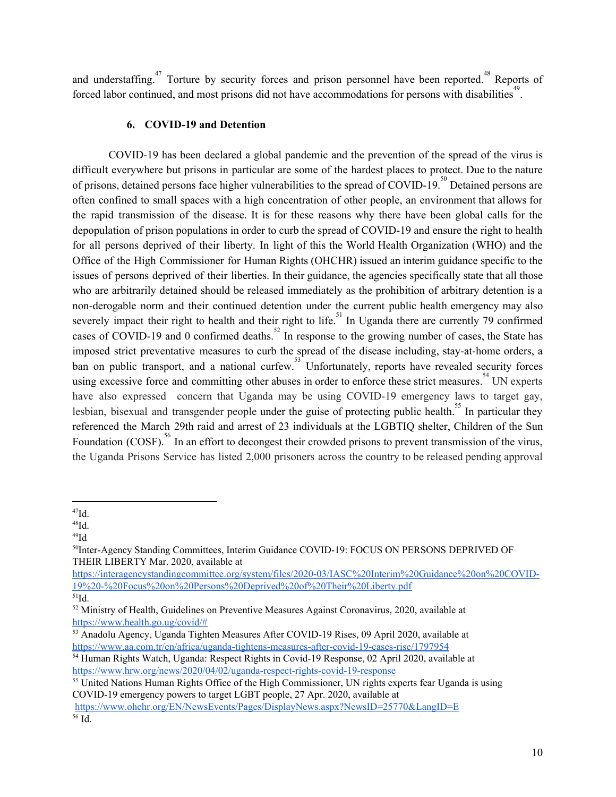and understaffing.<sup>47</sup> Torture by security forces and prison personnel have been reported.<sup>48</sup> Reports of forced labor continued, and most prisons did not have accommodations for persons with disabilities<sup>49</sup>.

## **6. COVID-19 and Detention**

COVID-19 has been declared a global pandemic and the prevention of the spread of the virus is difficult everywhere but prisons in particular are some of the hardest places to protect. Due to the nature of prisons, detained persons face higher vulnerabilities to the spread of COVID-19.<sup>50</sup> Detained persons are often confined to small spaces with a high concentration of other people, an environment that allows for the rapid transmission of the disease. It is for these reasons why there have been global calls for the depopulation of prison populations in order to curb the spread of COVID-19 and ensure the right to health for all persons deprived of their liberty. In light of this the World Health Organization (WHO) and the Office of the High Commissioner for Human Rights (OHCHR) issued an interim guidance specific to the issues of persons deprived of their liberties. In their guidance, the agencies specifically state that all those who are arbitrarily detained should be released immediately as the prohibition of arbitrary detention is a non-derogable norm and their continued detention under the current public health emergency may also severely impact their right to health and their right to life.<sup>51</sup> In Uganda there are currently 79 confirmed cases of COVID-19 and 0 confirmed deaths.<sup>52</sup> In response to the growing number of cases, the State has imposed strict preventative measures to curb the spread of the disease including, stay-at-home orders, a ban on public transport, and a national curfew.<sup>53</sup> Unfortunately, reports have revealed security forces using excessive force and committing other abuses in order to enforce these strict measures.<sup>54</sup> UN experts have also expressed concern that Uganda may be using COVID-19 emergency laws to target gay, lesbian, bisexual and transgender people under the guise of protecting public health.<sup>55</sup> In particular they referenced the March 29th raid and arrest of 23 individuals at the LGBTIQ shelter, Children of the Sun Foundation (COSF).<sup>56</sup> In an effort to decongest their crowded prisons to prevent transmission of the virus, the Uganda Prisons Service has listed 2,000 prisoners across the country to be released pending approval

 $^{49}$ Id

[https://interagencystandingcommittee.org/system/files/2020-03/IASC%20Interim%20Guidance%20on%20COVID-](https://interagencystandingcommittee.org/system/files/2020-03/IASC%20Interim%20Guidance%20on%20COVID-19%20-%20Focus%20on%20Persons%20Deprived%20of%20Their%20Liberty.pdf)[19%20-%20Focus%20on%20Persons%20Deprived%20of%20Their%20Liberty.pdf](https://interagencystandingcommittee.org/system/files/2020-03/IASC%20Interim%20Guidance%20on%20COVID-19%20-%20Focus%20on%20Persons%20Deprived%20of%20Their%20Liberty.pdf)  $51$ Id.

 $47$ Id.

 $^{48}$ Id.

<sup>50</sup>Inter-Agency Standing Committees, Interim Guidance COVID-19: FOCUS ON PERSONS DEPRIVED OF THEIR LIBERTY Mar. 2020, available at

<sup>&</sup>lt;sup>52</sup> Ministry of Health, Guidelines on Preventive Measures Against Coronavirus, 2020, available at [https://www.health.go.ug/covid/#](https://www.health.go.ug/covid/)

<sup>53</sup> Anadolu Agency, Uganda Tighten Measures After COVID-19 Rises, 09 April 2020, available at <https://www.aa.com.tr/en/africa/uganda-tightens-measures-after-covid-19-cases-rise/1797954>

<sup>54</sup> Human Rights Watch, Uganda: Respect Rights in Covid-19 Response, 02 April 2020, available at <https://www.hrw.org/news/2020/04/02/uganda-respect-rights-covid-19-response>

<sup>&</sup>lt;sup>55</sup> United Nations Human Rights Office of the High Commissioner, UN rights experts fear Uganda is using COVID-19 emergency powers to target LGBT people, 27 Apr. 2020, available at <https://www.ohchr.org/EN/NewsEvents/Pages/DisplayNews.aspx?NewsID=25770&LangID=E>

<sup>56</sup> Id.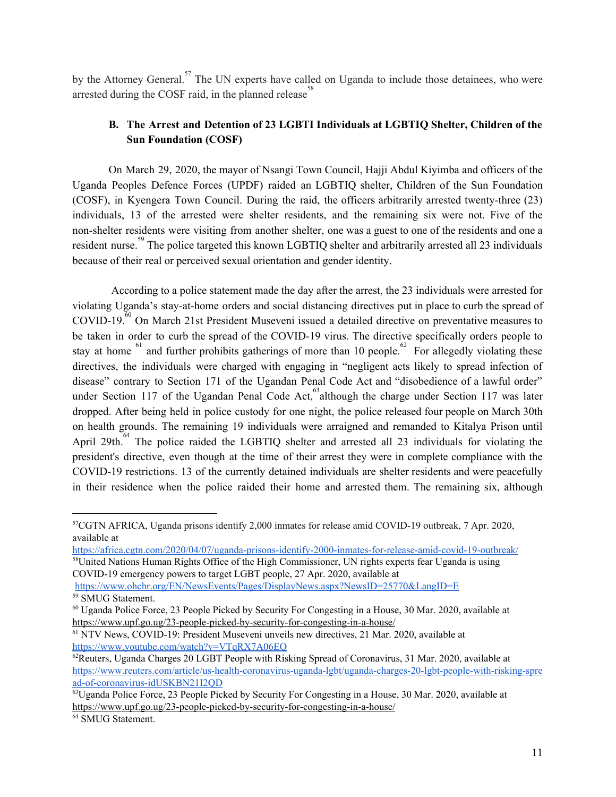by the Attorney General.<sup>57</sup> The UN experts have called on Uganda to include those detainees, who were arrested during the COSF raid, in the planned release<sup>58</sup>

## **B. The Arrest and Detention of 23 LGBTI Individuals at LGBTIQ Shelter, Children of the Sun Foundation (COSF)**

On March 29, 2020, the mayor of Nsangi Town Council, Hajji Abdul Kiyimba and officers of the Uganda Peoples Defence Forces (UPDF) raided an LGBTIQ shelter, Children of the Sun Foundation (COSF), in Kyengera Town Council. During the raid, the officers arbitrarily arrested twenty-three (23) individuals, 13 of the arrested were shelter residents, and the remaining six were not. Five of the non-shelter residents were visiting from another shelter, one was a guest to one of the residents and one a resident nurse.<sup>59</sup> The police targeted this known LGBTIQ shelter and arbitrarily arrested all 23 individuals because of their real or perceived sexual orientation and gender identity.

According to a police statement made the day after the arrest, the 23 individuals were arrested for violating Uganda's stay-at-home orders and social distancing directives put in place to curb the spread of  $COVID-19<sup>70</sup>$  On March 21st President Museveni issued a detailed directive on preventative measures to be taken in order to curb the spread of the COVID-19 virus. The directive specifically orders people to stay at home  $61$  and further prohibits gatherings of more than 10 people. For allegedly violating these directives, the individuals were charged with engaging in "negligent acts likely to spread infection of disease" contrary to Section 171 of the Ugandan Penal Code Act and "disobedience of a lawful order" under Section 117 of the Ugandan Penal Code Act, although the charge under Section 117 was later dropped. After being held in police custody for one night, the police released four people on March 30th on health grounds. The remaining 19 individuals were arraigned and remanded to Kitalya Prison until April 29th.<sup> $64$ </sup> The police raided the LGBTIQ shelter and arrested all 23 individuals for violating the president's directive, even though at the time of their arrest they were in complete compliance with the COVID-19 restrictions. 13 of the currently detained individuals are shelter residents and were peacefully in their residence when the police raided their home and arrested them. The remaining six, although

<sup>57</sup>CGTN AFRICA, Uganda prisons identify 2,000 inmates for release amid COVID-19 outbreak, 7 Apr. 2020, available at

<https://africa.cgtn.com/2020/04/07/uganda-prisons-identify-2000-inmates-for-release-amid-covid-19-outbreak/> <sup>58</sup>United Nations Human Rights Office of the High Commissioner, UN rights experts fear Uganda is using COVID-19 emergency powers to target LGBT people, 27 Apr. 2020, available at <https://www.ohchr.org/EN/NewsEvents/Pages/DisplayNews.aspx?NewsID=25770&LangID=E>

<sup>59</sup> SMUG Statement.

<sup>60</sup> Uganda Police Force, 23 People Picked by Security For Congesting in a House, 30 Mar. 2020, available at <https://www.upf.go.ug/23-people-picked-by-security-for-congesting-in-a-house/>

<sup>61</sup> NTV News, COVID-19: President Museveni unveils new directives, 21 Mar. 2020, available at <https://www.youtube.com/watch?v=VTqRX7A06EQ>

 $^{62}$ Reuters, Uganda Charges 20 LGBT People with Risking Spread of Coronavirus, 31 Mar. 2020, available at [https://www.reuters.com/article/us-health-coronavirus-uganda-lgbt/uganda-charges-20-lgbt-people-with-risking-spre](https://www.reuters.com/article/us-health-coronavirus-uganda-lgbt/uganda-charges-20-lgbt-people-with-risking-spread-of-coronavirus-idUSKBN21I2QD) [ad-of-coronavirus-idUSKBN21I2QD](https://www.reuters.com/article/us-health-coronavirus-uganda-lgbt/uganda-charges-20-lgbt-people-with-risking-spread-of-coronavirus-idUSKBN21I2QD)

<sup>63</sup>Uganda Police Force, 23 People Picked by Security For Congesting in a House, 30 Mar. 2020, available at <https://www.upf.go.ug/23-people-picked-by-security-for-congesting-in-a-house/>

<sup>64</sup> SMUG Statement.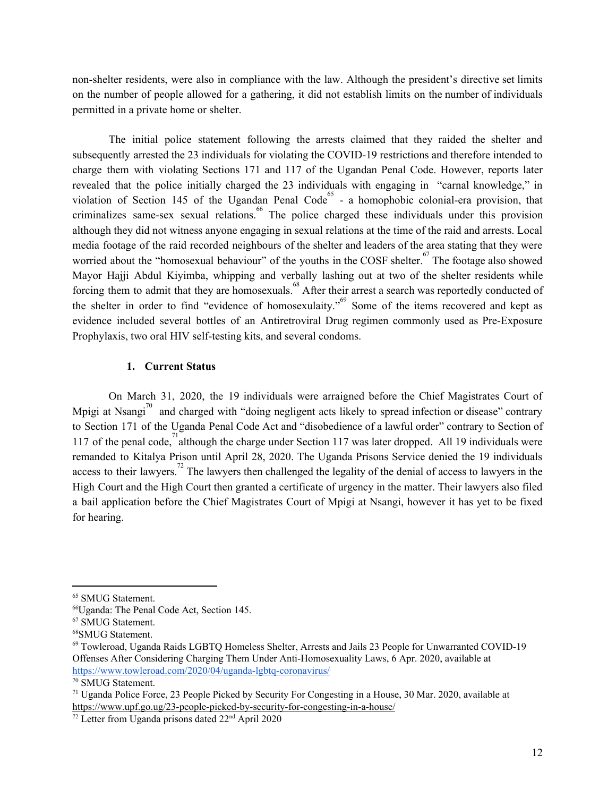non-shelter residents, were also in compliance with the law. Although the president's directive set limits on the number of people allowed for a gathering, it did not establish limits on the number of individuals permitted in a private home or shelter.

The initial police statement following the arrests claimed that they raided the shelter and subsequently arrested the 23 individuals for violating the COVID-19 restrictions and therefore intended to charge them with violating Sections 171 and 117 of the Ugandan Penal Code. However, reports later revealed that the police initially charged the 23 individuals with engaging in "carnal knowledge," in violation of Section 145 of the Ugandan Penal Code<sup>65</sup> - a homophobic colonial-era provision, that criminalizes same-sex sexual relations.<sup>66</sup> The police charged these individuals under this provision although they did not witness anyone engaging in sexual relations at the time of the raid and arrests. Local media footage of the raid recorded neighbours of the shelter and leaders of the area stating that they were worried about the "homosexual behaviour" of the youths in the COSF shelter. $\frac{67}{10}$  The footage also showed Mayor Hajji Abdul Kiyimba, whipping and verbally lashing out at two of the shelter residents while forcing them to admit that they are homosexuals.<sup>68</sup> After their arrest a search was reportedly conducted of the shelter in order to find "evidence of homosexulaity."<sup>69</sup> Some of the items recovered and kept as evidence included several bottles of an Antiretroviral Drug regimen commonly used as Pre-Exposure Prophylaxis, two oral HIV self-testing kits, and several condoms.

#### **1. Current Status**

On March 31, 2020, the 19 individuals were arraigned before the Chief Magistrates Court of Mpigi at Nsangi<sup>70</sup> and charged with "doing negligent acts likely to spread infection or disease" contrary to Section 171 of the Uganda Penal Code Act and "disobedience of a lawful order" contrary to Section of 117 of the penal code,  $\frac{1}{2}$  although the charge under Section 117 was later dropped. All 19 individuals were remanded to Kitalya Prison until April 28, 2020. The Uganda Prisons Service denied the 19 individuals access to their lawyers.<sup>72</sup> The lawyers then challenged the legality of the denial of access to lawyers in the High Court and the High Court then granted a certificate of urgency in the matter. Their lawyers also filed a bail application before the Chief Magistrates Court of Mpigi at Nsangi, however it has yet to be fixed for hearing.

<sup>&</sup>lt;sup>65</sup> SMUG Statement.

<sup>66</sup>Uganda: The Penal Code Act, Section 145.

<sup>67</sup> SMUG Statement.

<sup>68</sup>SMUG Statement.

<sup>69</sup> Towleroad, Uganda Raids LGBTQ Homeless Shelter, Arrests and Jails 23 People for Unwarranted COVID-19 Offenses After Considering Charging Them Under Anti-Homosexuality Laws, 6 Apr. 2020, available at <https://www.towleroad.com/2020/04/uganda-lgbtq-coronavirus/>

<sup>70</sup> SMUG Statement.

<sup>71</sup> Uganda Police Force, 23 People Picked by Security For Congesting in a House, 30 Mar. 2020, available at <https://www.upf.go.ug/23-people-picked-by-security-for-congesting-in-a-house/>

 $72$  Letter from Uganda prisons dated  $22<sup>nd</sup>$  April 2020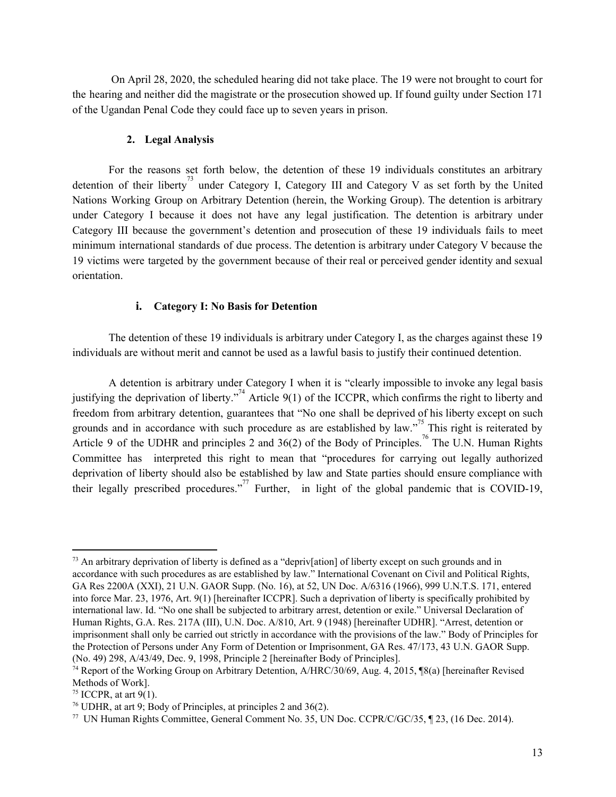On April 28, 2020, the scheduled hearing did not take place. The 19 were not brought to court for the hearing and neither did the magistrate or the prosecution showed up. If found guilty under Section 171 of the Ugandan Penal Code they could face up to seven years in prison.

#### **2. Legal Analysis**

For the reasons set forth below, the detention of these 19 individuals constitutes an arbitrary detention of their liberty<sup>73</sup> under Category I, Category III and Category V as set forth by the United Nations Working Group on Arbitrary Detention (herein, the Working Group). The detention is arbitrary under Category I because it does not have any legal justification. The detention is arbitrary under Category III because the government's detention and prosecution of these 19 individuals fails to meet minimum international standards of due process. The detention is arbitrary under Category V because the 19 victims were targeted by the government because of their real or perceived gender identity and sexual orientation.

#### **i. Category I: No Basis for Detention**

The detention of these 19 individuals is arbitrary under Category I, as the charges against these 19 individuals are without merit and cannot be used as a lawful basis to justify their continued detention.

A detention is arbitrary under Category I when it is "clearly impossible to invoke any legal basis justifying the deprivation of liberty.<sup> $n^{74}$ </sup> Article 9(1) of the ICCPR, which confirms the right to liberty and freedom from arbitrary detention, guarantees that "No one shall be deprived of his liberty except on such grounds and in accordance with such procedure as are established by law."<sup>75</sup> This right is reiterated by Article 9 of the UDHR and principles 2 and  $36(2)$  of the Body of Principles.<sup>76</sup> The U.N. Human Rights Committee has interpreted this right to mean that "procedures for carrying out legally authorized deprivation of liberty should also be established by law and State parties should ensure compliance with their legally prescribed procedures."<sup>77</sup> Further, in light of the global pandemic that is COVID-19,

<sup>&</sup>lt;sup>73</sup> An arbitrary deprivation of liberty is defined as a "depriv[ation] of liberty except on such grounds and in accordance with such procedures as are established by law." International Covenant on Civil and Political Rights, GA Res 2200A (XXI), 21 U.N. GAOR Supp. (No. 16), at 52, UN Doc. A/6316 (1966), 999 U.N.T.S. 171, entered into force Mar. 23, 1976, Art. 9(1) [hereinafter ICCPR]. Such a deprivation of liberty is specifically prohibited by international law. Id. "No one shall be subjected to arbitrary arrest, detention or exile." Universal Declaration of Human Rights, G.A. Res. 217A (III), U.N. Doc. A/810, Art. 9 (1948) [hereinafter UDHR]. "Arrest, detention or imprisonment shall only be carried out strictly in accordance with the provisions of the law." Body of Principles for the Protection of Persons under Any Form of Detention or Imprisonment, GA Res. 47/173, 43 U.N. GAOR Supp. (No. 49) 298, A/43/49, Dec. 9, 1998, Principle 2 [hereinafter Body of Principles].

<sup>74</sup> Report of the Working Group on Arbitrary Detention, A/HRC/30/69, Aug. 4, 2015, ¶8(a) [hereinafter Revised Methods of Work].

 $75$  ICCPR, at art 9(1).

<sup>76</sup> UDHR, at art 9; Body of Principles, at principles 2 and 36(2).

<sup>77</sup> UN Human Rights Committee, General Comment No. 35, UN Doc. CCPR/C/GC/35, ¶ 23, (16 Dec. 2014).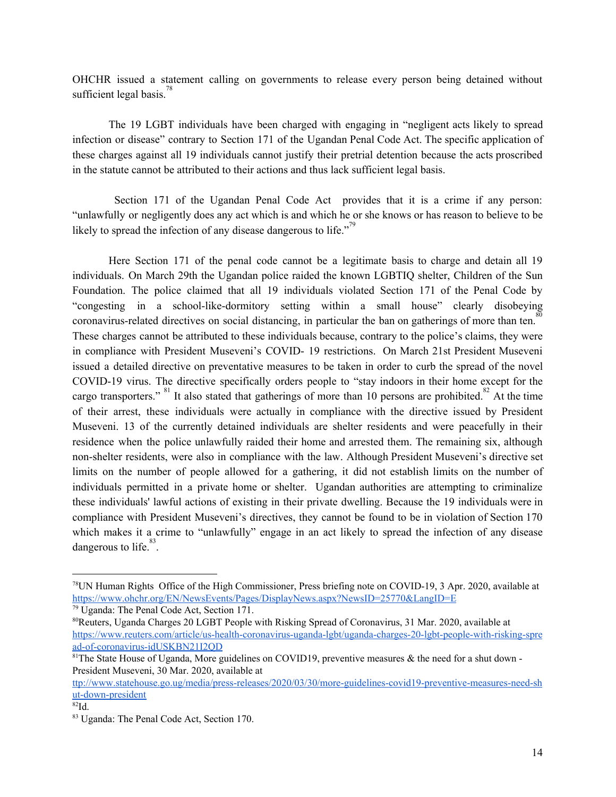OHCHR issued a statement calling on governments to release every person being detained without sufficient legal basis.<sup>78</sup>

The 19 LGBT individuals have been charged with engaging in "negligent acts likely to spread infection or disease" contrary to Section 171 of the Ugandan Penal Code Act. The specific application of these charges against all 19 individuals cannot justify their pretrial detention because the acts proscribed in the statute cannot be attributed to their actions and thus lack sufficient legal basis.

Section 171 of the Ugandan Penal Code Act provides that it is a crime if any person: "unlawfully or negligently does any act which is and which he or she knows or has reason to believe to be likely to spread the infection of any disease dangerous to life. $^{79}$ 

Here Section 171 of the penal code cannot be a legitimate basis to charge and detain all 19 individuals. On March 29th the Ugandan police raided the known LGBTIQ shelter, Children of the Sun Foundation. The police claimed that all 19 individuals violated Section 171 of the Penal Code by "congesting in a school-like-dormitory setting within a small house" clearly disobeying coronavirus-related directives on social distancing, in particular the ban on gatherings of more than ten. 80 These charges cannot be attributed to these individuals because, contrary to the police's claims, they were in compliance with President Museveni's COVID- 19 restrictions. On March 21st President Museveni issued a detailed directive on preventative measures to be taken in order to curb the spread of the novel COVID-19 virus. The directive specifically orders people to "stay indoors in their home except for the cargo transporters." <sup>81</sup> It also stated that gatherings of more than 10 persons are prohibited.<sup>82</sup> At the time of their arrest, these individuals were actually in compliance with the directive issued by President Museveni. 13 of the currently detained individuals are shelter residents and were peacefully in their residence when the police unlawfully raided their home and arrested them. The remaining six, although non-shelter residents, were also in compliance with the law. Although President Museveni's directive set limits on the number of people allowed for a gathering, it did not establish limits on the number of individuals permitted in a private home or shelter. Ugandan authorities are attempting to criminalize these individuals' lawful actions of existing in their private dwelling. Because the 19 individuals were in compliance with President Museveni's directives, they cannot be found to be in violation of Section 170 which makes it a crime to "unlawfully" engage in an act likely to spread the infection of any disease dangerous to life.  $83$ .

<sup>78</sup>UN Human Rights Office of the High Commissioner, Press briefing note on COVID-19, 3 Apr. 2020, available at <https://www.ohchr.org/EN/NewsEvents/Pages/DisplayNews.aspx?NewsID=25770&LangID=E>

<sup>79</sup> Uganda: The Penal Code Act, Section 171.

<sup>80</sup>Reuters, Uganda Charges 20 LGBT People with Risking Spread of Coronavirus, 31 Mar. 2020, available at [https://www.reuters.com/article/us-health-coronavirus-uganda-lgbt/uganda-charges-20-lgbt-people-with-risking-spre](https://www.reuters.com/article/us-health-coronavirus-uganda-lgbt/uganda-charges-20-lgbt-people-with-risking-spread-of-coronavirus-idUSKBN21I2QD) [ad-of-coronavirus-idUSKBN21I2QD](https://www.reuters.com/article/us-health-coronavirus-uganda-lgbt/uganda-charges-20-lgbt-people-with-risking-spread-of-coronavirus-idUSKBN21I2QD)

<sup>&</sup>lt;sup>81</sup>The State House of Uganda, More guidelines on COVID19, preventive measures & the need for a shut down -President Museveni, 30 Mar. 2020, available at

[ttp://www.statehouse.go.ug/media/press-releases/2020/03/30/more-guidelines-covid19-preventive-measures-need-sh](http://www.statehouse.go.ug/media/press-releases/2020/03/30/more-guidelines-covid19-preventive-measures-need-shut-down-president) [ut-down-president](http://www.statehouse.go.ug/media/press-releases/2020/03/30/more-guidelines-covid19-preventive-measures-need-shut-down-president)

<sup>82</sup>Id.

<sup>83</sup> Uganda: The Penal Code Act, Section 170.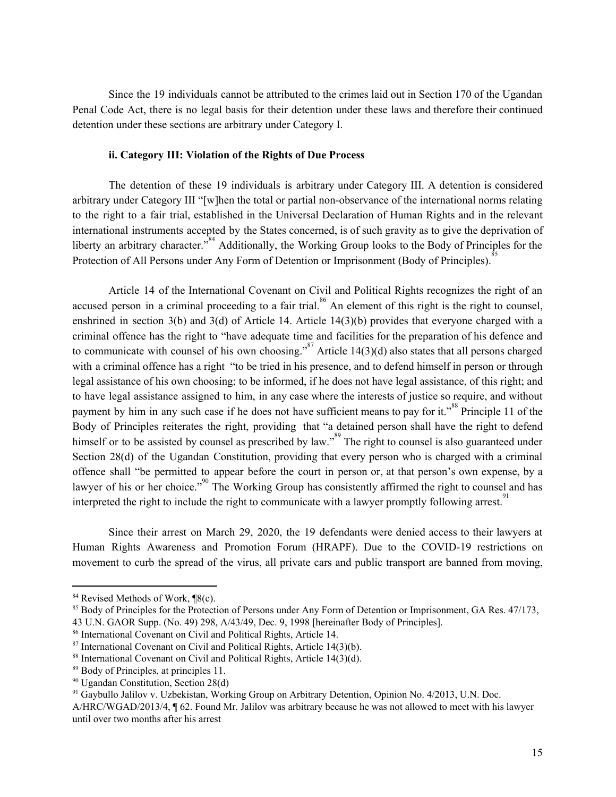Since the 19 individuals cannot be attributed to the crimes laid out in Section 170 of the Ugandan Penal Code Act, there is no legal basis for their detention under these laws and therefore their continued detention under these sections are arbitrary under Category I.

#### **ii. Category III: Violation of the Rights of Due Process**

The detention of these 19 individuals is arbitrary under Category III. A detention is considered arbitrary under Category III "[w]hen the total or partial non-observance of the international norms relating to the right to a fair trial, established in the Universal Declaration of Human Rights and in the relevant international instruments accepted by the States concerned, is of such gravity as to give the deprivation of liberty an arbitrary character.<sup>384</sup> Additionally, the Working Group looks to the Body of Principles for the Protection of All Persons under Any Form of Detention or Imprisonment (Body of Principles).<sup>85</sup>

Article 14 of the International Covenant on Civil and Political Rights recognizes the right of an accused person in a criminal proceeding to a fair trial.<sup>86</sup> An element of this right is the right to counsel, enshrined in section 3(b) and 3(d) of Article 14. Article 14(3)(b) provides that everyone charged with a criminal offence has the right to "have adequate time and facilities for the preparation of his defence and to communicate with counsel of his own choosing."<sup>87</sup> Article 14(3)(d) also states that all persons charged with a criminal offence has a right "to be tried in his presence, and to defend himself in person or through legal assistance of his own choosing; to be informed, if he does not have legal assistance, of this right; and to have legal assistance assigned to him, in any case where the interests of justice so require, and without payment by him in any such case if he does not have sufficient means to pay for it."<sup>88</sup> Principle 11 of the Body of Principles reiterates the right, providing that "a detained person shall have the right to defend himself or to be assisted by counsel as prescribed by law."<sup>89</sup> The right to counsel is also guaranteed under Section 28(d) of the Ugandan Constitution, providing that every person who is charged with a criminal offence shall "be permitted to appear before the court in person or, at that person's own expense, by a lawyer of his or her choice."<sup>90</sup> The Working Group has consistently affirmed the right to counsel and has interpreted the right to include the right to communicate with a lawyer promptly following arrest.<sup>91</sup>

Since their arrest on March 29, 2020, the 19 defendants were denied access to their lawyers at Human Rights Awareness and Promotion Forum (HRAPF). Due to the COVID-19 restrictions on movement to curb the spread of the virus, all private cars and public transport are banned from moving,

<sup>&</sup>lt;sup>84</sup> Revised Methods of Work, ¶8(c).

<sup>&</sup>lt;sup>85</sup> Body of Principles for the Protection of Persons under Any Form of Detention or Imprisonment, GA Res. 47/173, 43 U.N. GAOR Supp. (No. 49) 298, A/43/49, Dec. 9, 1998 [hereinafter Body of Principles].

<sup>86</sup> International Covenant on Civil and Political Rights, Article 14.

 $87$  International Covenant on Civil and Political Rights, Article 14(3)(b).

<sup>88</sup> International Covenant on Civil and Political Rights, Article 14(3)(d).

<sup>89</sup> Body of Principles, at principles 11.

<sup>90</sup> Ugandan Constitution, Section 28(d)

<sup>91</sup> Gaybullo Jalilov v. Uzbekistan, Working Group on Arbitrary Detention, Opinion No. 4/2013, U.N. Doc.

A/HRC/WGAD/2013/4, ¶ 62. Found Mr. Jalilov was arbitrary because he was not allowed to meet with his lawyer until over two months after his arrest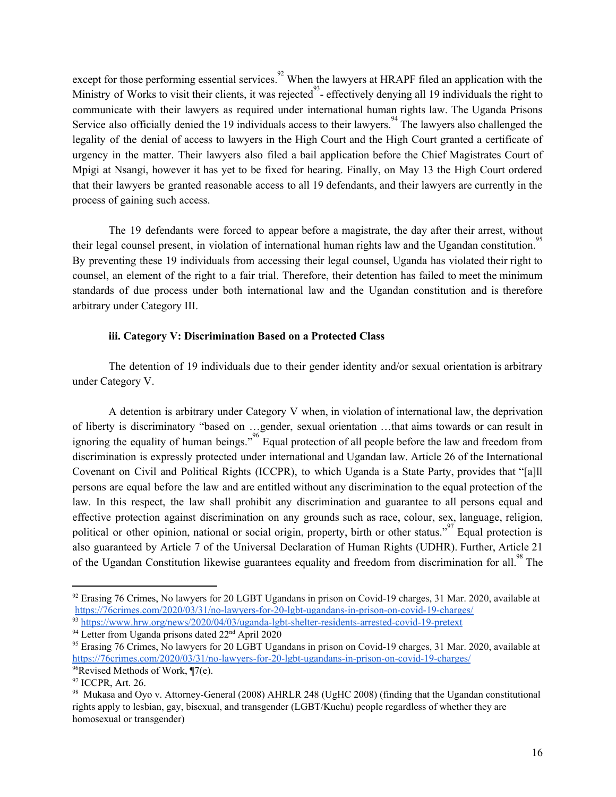except for those performing essential services.<sup>92</sup> When the lawyers at HRAPF filed an application with the Ministry of Works to visit their clients, it was rejected  $^{93}$ - effectively denying all 19 individuals the right to communicate with their lawyers as required under international human rights law. The Uganda Prisons Service also officially denied the 19 individuals access to their lawyers.<sup>94</sup> The lawyers also challenged the legality of the denial of access to lawyers in the High Court and the High Court granted a certificate of urgency in the matter. Their lawyers also filed a bail application before the Chief Magistrates Court of Mpigi at Nsangi, however it has yet to be fixed for hearing. Finally, on May 13 the High Court ordered that their lawyers be granted reasonable access to all 19 defendants, and their lawyers are currently in the process of gaining such access.

The 19 defendants were forced to appear before a magistrate, the day after their arrest, without their legal counsel present, in violation of international human rights law and the Ugandan constitution. 95 By preventing these 19 individuals from accessing their legal counsel, Uganda has violated their right to counsel, an element of the right to a fair trial. Therefore, their detention has failed to meet the minimum standards of due process under both international law and the Ugandan constitution and is therefore arbitrary under Category III.

#### **iii. Category V: Discrimination Based on a Protected Class**

The detention of 19 individuals due to their gender identity and/or sexual orientation is arbitrary under Category V.

A detention is arbitrary under Category V when, in violation of international law, the deprivation of liberty is discriminatory "based on …gender, sexual orientation …that aims towards or can result in ignoring the equality of human beings."<sup>96</sup> Equal protection of all people before the law and freedom from discrimination is expressly protected under international and Ugandan law. Article 26 of the International Covenant on Civil and Political Rights (ICCPR), to which Uganda is a State Party, provides that "[a]ll persons are equal before the law and are entitled without any discrimination to the equal protection of the law. In this respect, the law shall prohibit any discrimination and guarantee to all persons equal and effective protection against discrimination on any grounds such as race, colour, sex, language, religion, political or other opinion, national or social origin, property, birth or other status."<sup>97</sup> Equal protection is also guaranteed by Article 7 of the Universal Declaration of Human Rights (UDHR). Further, Article 21 of the Ugandan Constitution likewise guarantees equality and freedom from discrimination for all.<sup>98</sup> The

<sup>&</sup>lt;sup>92</sup> Erasing 76 Crimes, No lawyers for 20 LGBT Ugandans in prison on Covid-19 charges, 31 Mar. 2020, available at <https://76crimes.com/2020/03/31/no-lawyers-for-20-lgbt-ugandans-in-prison-on-covid-19-charges/> <sup>93</sup> <https://www.hrw.org/news/2020/04/03/uganda-lgbt-shelter-residents-arrested-covid-19-pretext>

<sup>&</sup>lt;sup>94</sup> Letter from Uganda prisons dated 22<sup>nd</sup> April 2020

<sup>95</sup> Erasing 76 Crimes, No lawyers for 20 LGBT Ugandans in prison on Covid-19 charges, 31 Mar. 2020, available at <https://76crimes.com/2020/03/31/no-lawyers-for-20-lgbt-ugandans-in-prison-on-covid-19-charges/>  $96$ Revised Methods of Work,  $\P$ 7(e).

<sup>&</sup>lt;sup>97</sup> ICCPR, Art. 26.

<sup>98</sup> Mukasa and Oyo v. Attorney-General (2008) AHRLR 248 (UgHC 2008) (finding that the Ugandan constitutional rights apply to lesbian, gay, bisexual, and transgender (LGBT/Kuchu) people regardless of whether they are homosexual or transgender)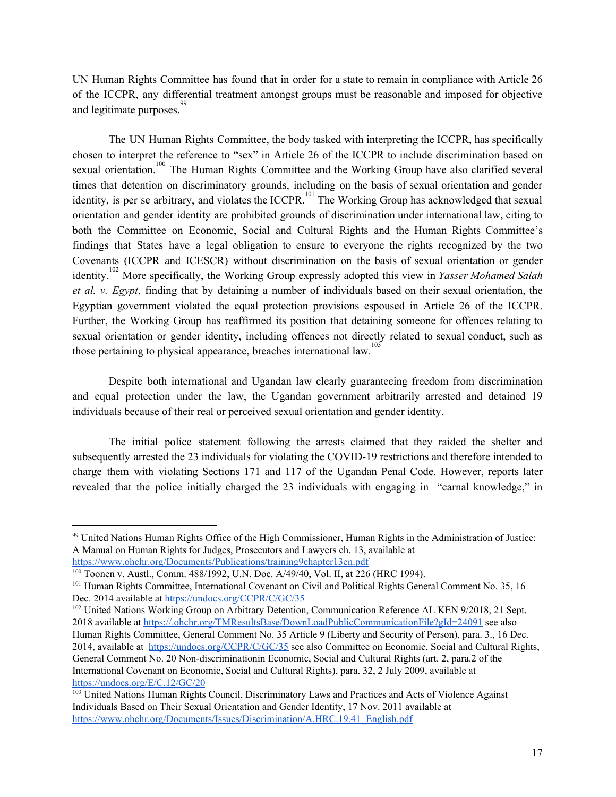UN Human Rights Committee has found that in order for a state to remain in compliance with Article 26 of the ICCPR, any differential treatment amongst groups must be reasonable and imposed for objective and legitimate purposes.<sup>99</sup>

The UN Human Rights Committee, the body tasked with interpreting the ICCPR, has specifically chosen to interpret the reference to "sex" in Article 26 of the ICCPR to include discrimination based on sexual orientation.<sup>100</sup> The Human Rights Committee and the Working Group have also clarified several times that detention on discriminatory grounds, including on the basis of sexual orientation and gender identity, is per se arbitrary, and violates the ICCPR.<sup>101</sup> The Working Group has acknowledged that sexual orientation and gender identity are prohibited grounds of discrimination under international law, citing to both the Committee on Economic, Social and Cultural Rights and the Human Rights Committee's findings that States have a legal obligation to ensure to everyone the rights recognized by the two Covenants (ICCPR and ICESCR) without discrimination on the basis of sexual orientation or gender identity.<sup>102</sup> More specifically, the Working Group expressly adopted this view in *Yasser Mohamed Salah et al. v. Egypt*, finding that by detaining a number of individuals based on their sexual orientation, the Egyptian government violated the equal protection provisions espoused in Article 26 of the ICCPR. Further, the Working Group has reaffirmed its position that detaining someone for offences relating to sexual orientation or gender identity, including offences not directly related to sexual conduct, such as those pertaining to physical appearance, breaches international law.<sup>103</sup>

Despite both international and Ugandan law clearly guaranteeing freedom from discrimination and equal protection under the law, the Ugandan government arbitrarily arrested and detained 19 individuals because of their real or perceived sexual orientation and gender identity.

The initial police statement following the arrests claimed that they raided the shelter and subsequently arrested the 23 individuals for violating the COVID-19 restrictions and therefore intended to charge them with violating Sections 171 and 117 of the Ugandan Penal Code. However, reports later revealed that the police initially charged the 23 individuals with engaging in "carnal knowledge," in

<sup>99</sup> United Nations Human Rights Office of the High Commissioner, Human Rights in the Administration of Justice: A Manual on Human Rights for Judges, Prosecutors and Lawyers ch. 13, available at <https://www.ohchr.org/Documents/Publications/training9chapter13en.pdf>

<sup>100</sup> Toonen v. Austl., Comm. 488/1992, U.N. Doc. A/49/40, Vol. II, at 226 (HRC 1994).

<sup>&</sup>lt;sup>101</sup> Human Rights Committee, International Covenant on Civil and Political Rights General Comment No. 35, 16 Dec. 2014 available at <https://undocs.org/CCPR/C/GC/35>

<sup>&</sup>lt;sup>102</sup> United Nations Working Group on Arbitrary Detention, Communication Reference AL KEN 9/2018, 21 Sept. 2018 available at <https://.ohchr.org/TMResultsBase/DownLoadPublicCommunicationFile?gId=24091> see also Human Rights Committee, General Comment No. 35 Article 9 (Liberty and Security of Person), para. 3., 16 Dec. 2014, available at <https://undocs.org/CCPR/C/GC/35> see also Committee on Economic, Social and Cultural Rights, General Comment No. 20 Non-discriminationin Economic, Social and Cultural Rights (art. 2, para.2 of the International Covenant on Economic, Social and Cultural Rights), para. 32, 2 July 2009, available at <https://undocs.org/E/C.12/GC/20>

<sup>&</sup>lt;sup>103</sup> United Nations Human Rights Council, Discriminatory Laws and Practices and Acts of Violence Against Individuals Based on Their Sexual Orientation and Gender Identity, 17 Nov. 2011 available at [https://www.ohchr.org/Documents/Issues/Discrimination/A.HRC.19.41\\_English.pdf](https://www.ohchr.org/Documents/Issues/Discrimination/A.HRC.19.41_English.pdf)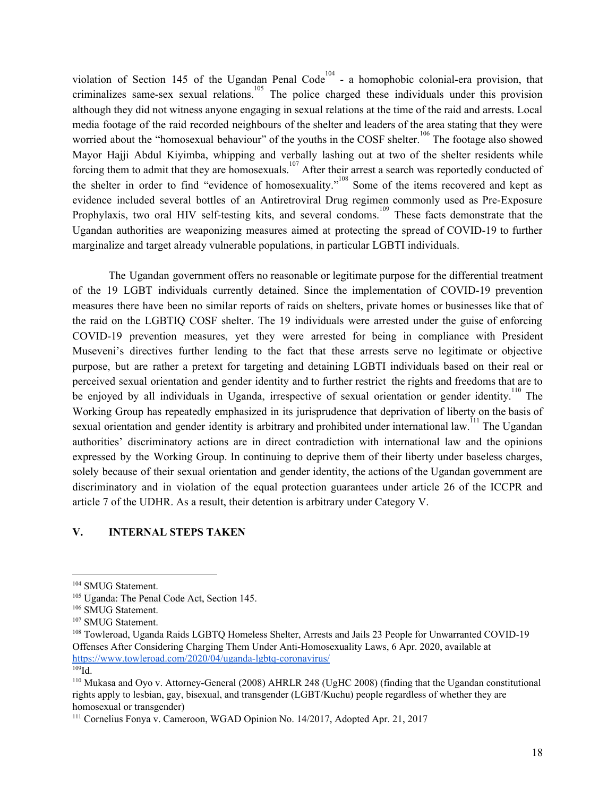violation of Section 145 of the Ugandan Penal Code<sup>104</sup> - a homophobic colonial-era provision, that criminalizes same-sex sexual relations.<sup>105</sup> The police charged these individuals under this provision although they did not witness anyone engaging in sexual relations at the time of the raid and arrests. Local media footage of the raid recorded neighbours of the shelter and leaders of the area stating that they were worried about the "homosexual behaviour" of the youths in the COSF shelter.<sup>106</sup> The footage also showed Mayor Hajji Abdul Kiyimba, whipping and verbally lashing out at two of the shelter residents while forcing them to admit that they are homosexuals.<sup>107</sup> After their arrest a search was reportedly conducted of the shelter in order to find "evidence of homosexuality."<sup>108</sup> Some of the items recovered and kept as evidence included several bottles of an Antiretroviral Drug regimen commonly used as Pre-Exposure Prophylaxis, two oral HIV self-testing kits, and several condoms.<sup>109</sup> These facts demonstrate that the Ugandan authorities are weaponizing measures aimed at protecting the spread of COVID-19 to further marginalize and target already vulnerable populations, in particular LGBTI individuals.

The Ugandan government offers no reasonable or legitimate purpose for the differential treatment of the 19 LGBT individuals currently detained. Since the implementation of COVID-19 prevention measures there have been no similar reports of raids on shelters, private homes or businesses like that of the raid on the LGBTIQ COSF shelter. The 19 individuals were arrested under the guise of enforcing COVID-19 prevention measures, yet they were arrested for being in compliance with President Museveni's directives further lending to the fact that these arrests serve no legitimate or objective purpose, but are rather a pretext for targeting and detaining LGBTI individuals based on their real or perceived sexual orientation and gender identity and to further restrict the rights and freedoms that are to be enjoyed by all individuals in Uganda, irrespective of sexual orientation or gender identity.<sup>110</sup> The Working Group has repeatedly emphasized in its jurisprudence that deprivation of liberty on the basis of sexual orientation and gender identity is arbitrary and prohibited under international law.<sup>111</sup> The Ugandan authorities' discriminatory actions are in direct contradiction with international law and the opinions expressed by the Working Group. In continuing to deprive them of their liberty under baseless charges, solely because of their sexual orientation and gender identity, the actions of the Ugandan government are discriminatory and in violation of the equal protection guarantees under article 26 of the ICCPR and article 7 of the UDHR. As a result, their detention is arbitrary under Category V.

#### **V. INTERNAL STEPS TAKEN**

<sup>104</sup> SMUG Statement.

<sup>105</sup> Uganda: The Penal Code Act, Section 145.

<sup>106</sup> SMUG Statement.

<sup>107</sup> SMUG Statement.

<sup>108</sup> Towleroad, Uganda Raids LGBTQ Homeless Shelter, Arrests and Jails 23 People for Unwarranted COVID-19 Offenses After Considering Charging Them Under Anti-Homosexuality Laws, 6 Apr. 2020, available at <https://www.towleroad.com/2020/04/uganda-lgbtq-coronavirus/>  $109$ Id

<sup>110</sup> Mukasa and Oyo v. Attorney-General (2008) AHRLR 248 (UgHC 2008) (finding that the Ugandan constitutional rights apply to lesbian, gay, bisexual, and transgender (LGBT/Kuchu) people regardless of whether they are homosexual or transgender)

<sup>111</sup> Cornelius Fonya v. Cameroon, WGAD Opinion No. 14/2017, Adopted Apr. 21, 2017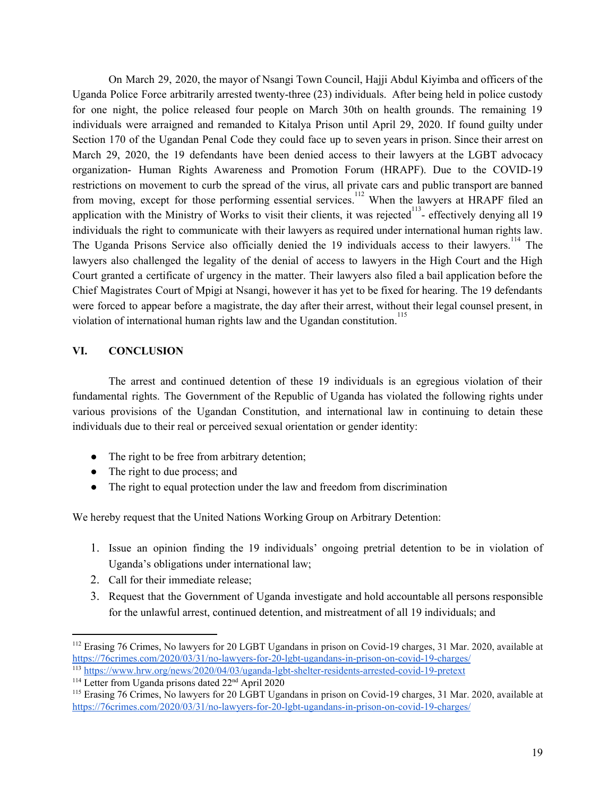On March 29, 2020, the mayor of Nsangi Town Council, Hajji Abdul Kiyimba and officers of the Uganda Police Force arbitrarily arrested twenty-three (23) individuals. After being held in police custody for one night, the police released four people on March 30th on health grounds. The remaining 19 individuals were arraigned and remanded to Kitalya Prison until April 29, 2020. If found guilty under Section 170 of the Ugandan Penal Code they could face up to seven years in prison. Since their arrest on March 29, 2020, the 19 defendants have been denied access to their lawyers at the LGBT advocacy organization- Human Rights Awareness and Promotion Forum (HRAPF). Due to the COVID-19 restrictions on movement to curb the spread of the virus, all private cars and public transport are banned from moving, except for those performing essential services.<sup>112</sup> When the lawyers at HRAPF filed an application with the Ministry of Works to visit their clients, it was rejected $13$ - effectively denying all 19 individuals the right to communicate with their lawyers as required under international human rights law. The Uganda Prisons Service also officially denied the 19 individuals access to their lawyers.<sup>114</sup> The lawyers also challenged the legality of the denial of access to lawyers in the High Court and the High Court granted a certificate of urgency in the matter. Their lawyers also filed a bail application before the Chief Magistrates Court of Mpigi at Nsangi, however it has yet to be fixed for hearing. The 19 defendants were forced to appear before a magistrate, the day after their arrest, without their legal counsel present, in violation of international human rights law and the Ugandan constitution. 115

#### **VI. CONCLUSION**

The arrest and continued detention of these 19 individuals is an egregious violation of their fundamental rights. The Government of the Republic of Uganda has violated the following rights under various provisions of the Ugandan Constitution, and international law in continuing to detain these individuals due to their real or perceived sexual orientation or gender identity:

- The right to be free from arbitrary detention;
- The right to due process; and
- The right to equal protection under the law and freedom from discrimination

We hereby request that the United Nations Working Group on Arbitrary Detention:

- 1. Issue an opinion finding the 19 individuals' ongoing pretrial detention to be in violation of Uganda's obligations under international law;
- 2. Call for their immediate release;
- 3. Request that the Government of Uganda investigate and hold accountable all persons responsible for the unlawful arrest, continued detention, and mistreatment of all 19 individuals; and

<sup>&</sup>lt;sup>112</sup> Erasing 76 Crimes, No lawyers for 20 LGBT Ugandans in prison on Covid-19 charges, 31 Mar. 2020, available at <https://76crimes.com/2020/03/31/no-lawyers-for-20-lgbt-ugandans-in-prison-on-covid-19-charges/>

<sup>113</sup> <https://www.hrw.org/news/2020/04/03/uganda-lgbt-shelter-residents-arrested-covid-19-pretext>

<sup>&</sup>lt;sup>114</sup> Letter from Uganda prisons dated 22<sup>nd</sup> April 2020

<sup>115</sup> Erasing 76 Crimes, No lawyers for 20 LGBT Ugandans in prison on Covid-19 charges, 31 Mar. 2020, available at <https://76crimes.com/2020/03/31/no-lawyers-for-20-lgbt-ugandans-in-prison-on-covid-19-charges/>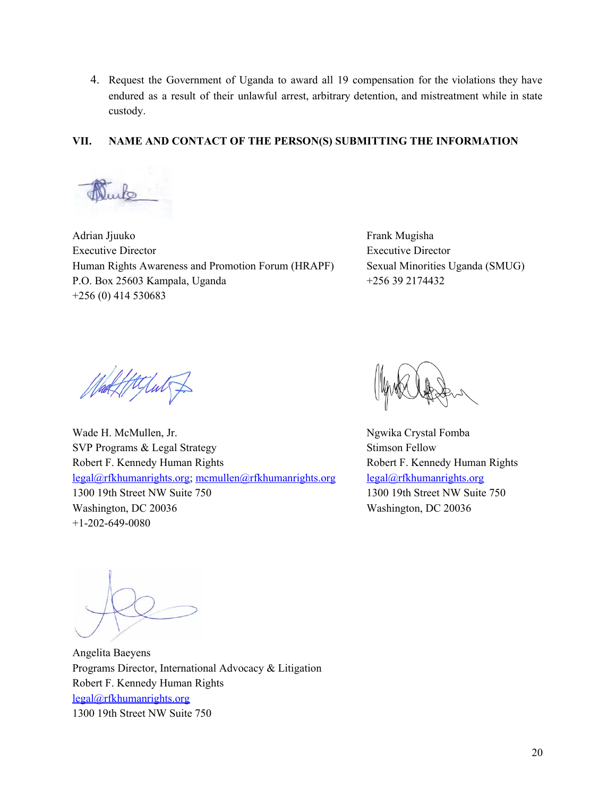4. Request the Government of Uganda to award all 19 compensation for the violations they have endured as a result of their unlawful arrest, arbitrary detention, and mistreatment while in state custody.

#### **VII. NAME AND CONTACT OF THE PERSON(S) SUBMITTING THE INFORMATION**

 $\mathbb{D}$ .

Adrian Jjuuko Executive Director Human Rights Awareness and Promotion Forum (HRAPF) P.O. Box 25603 Kampala, Uganda +256 (0) 414 530683

Frank Mugisha Executive Director Sexual Minorities Uganda (SMUG) +256 39 2174432

Httpdut f

Wade H. McMullen, Jr. SVP Programs & Legal Strategy Robert F. Kennedy Human Rights [legal@rfkhumanrights.org;](mailto:legal@rfkhumanrights.org) [mcmullen@rfkhumanrights.org](mailto:mcmullen@rfkhumanrights.org) 1300 19th Street NW Suite 750 Washington, DC 20036 +1-202-649-0080

Ngwika Crystal Fomba Stimson Fellow Robert F. Kennedy Human Rights [legal@rfkhumanrights.org](mailto:legal@rfkhumanrights.org) 1300 19th Street NW Suite 750 Washington, DC 20036

Angelita Baeyens Programs Director, International Advocacy & Litigation Robert F. Kennedy Human Rights [legal@rfkhumanrights.org](mailto:legal@rfkhumanrights.org) 1300 19th Street NW Suite 750